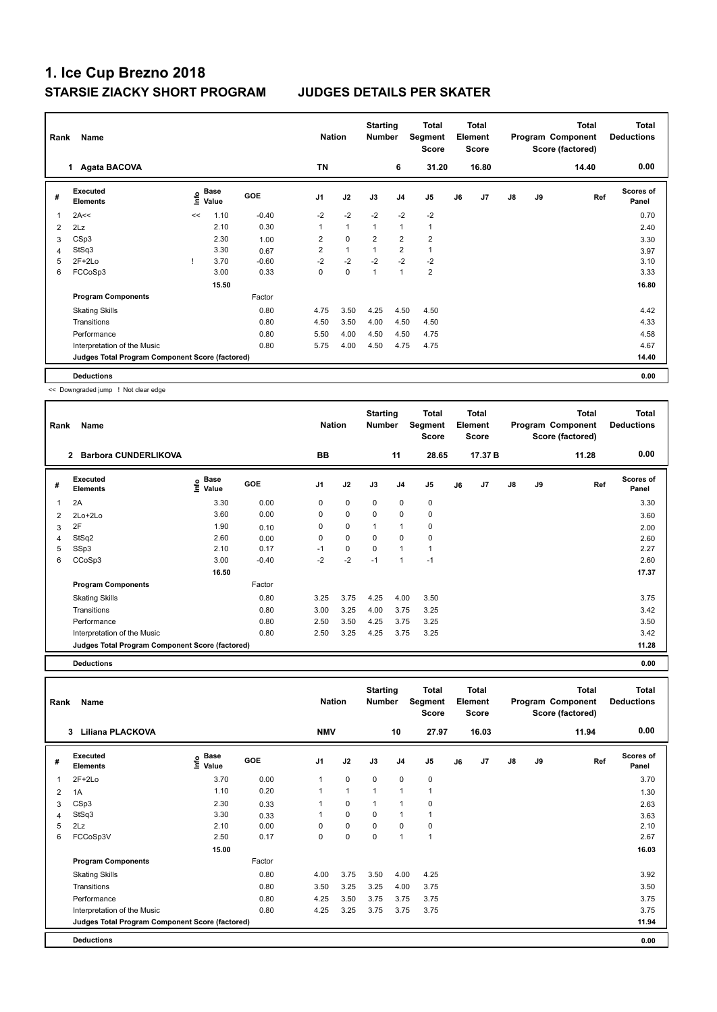| Rank | Name                                            |    |                           |            | <b>Nation</b>  |              | <b>Starting</b><br><b>Number</b> |                | Total<br>Segment<br><b>Score</b> |    | <b>Total</b><br>Element<br><b>Score</b> |               |    | <b>Total</b><br>Program Component<br>Score (factored) | <b>Total</b><br><b>Deductions</b> |
|------|-------------------------------------------------|----|---------------------------|------------|----------------|--------------|----------------------------------|----------------|----------------------------------|----|-----------------------------------------|---------------|----|-------------------------------------------------------|-----------------------------------|
|      | <b>Agata BACOVA</b><br>1                        |    |                           |            | <b>TN</b>      |              |                                  | 6              | 31.20                            |    | 16.80                                   |               |    | 14.40                                                 | 0.00                              |
| #    | Executed<br><b>Elements</b>                     |    | Base<br>e Base<br>⊆ Value | <b>GOE</b> | J <sub>1</sub> | J2           | J3                               | J <sub>4</sub> | J <sub>5</sub>                   | J6 | J7                                      | $\mathsf{J}8$ | J9 | Ref                                                   | <b>Scores of</b><br>Panel         |
|      | 2A<<                                            | << | 1.10                      | $-0.40$    | $-2$           | $-2$         | $-2$                             | $-2$           | $-2$                             |    |                                         |               |    |                                                       | 0.70                              |
| 2    | 2Lz                                             |    | 2.10                      | 0.30       | $\mathbf{1}$   | $\mathbf{1}$ | $\mathbf{1}$                     | 1              | $\mathbf{1}$                     |    |                                         |               |    |                                                       | 2.40                              |
| 3    | CSp3                                            |    | 2.30                      | 1.00       | $\overline{2}$ | $\mathbf 0$  | $\overline{2}$                   | $\overline{2}$ | $\overline{2}$                   |    |                                         |               |    |                                                       | 3.30                              |
| 4    | StSq3                                           |    | 3.30                      | 0.67       | 2              | $\mathbf{1}$ | $\mathbf{1}$                     | $\overline{2}$ | $\mathbf{1}$                     |    |                                         |               |    |                                                       | 3.97                              |
| 5    | $2F+2Lo$                                        |    | 3.70                      | $-0.60$    | $-2$           | $-2$         | $-2$                             | $-2$           | $-2$                             |    |                                         |               |    |                                                       | 3.10                              |
| 6    | FCCoSp3                                         |    | 3.00                      | 0.33       | 0              | 0            | $\mathbf{1}$                     | $\mathbf{1}$   | $\overline{2}$                   |    |                                         |               |    |                                                       | 3.33                              |
|      |                                                 |    | 15.50                     |            |                |              |                                  |                |                                  |    |                                         |               |    |                                                       | 16.80                             |
|      | <b>Program Components</b>                       |    |                           | Factor     |                |              |                                  |                |                                  |    |                                         |               |    |                                                       |                                   |
|      | <b>Skating Skills</b>                           |    |                           | 0.80       | 4.75           | 3.50         | 4.25                             | 4.50           | 4.50                             |    |                                         |               |    |                                                       | 4.42                              |
|      | Transitions                                     |    |                           | 0.80       | 4.50           | 3.50         | 4.00                             | 4.50           | 4.50                             |    |                                         |               |    |                                                       | 4.33                              |
|      | Performance                                     |    |                           | 0.80       | 5.50           | 4.00         | 4.50                             | 4.50           | 4.75                             |    |                                         |               |    |                                                       | 4.58                              |
|      | Interpretation of the Music                     |    |                           | 0.80       | 5.75           | 4.00         | 4.50                             | 4.75           | 4.75                             |    |                                         |               |    |                                                       | 4.67                              |
|      | Judges Total Program Component Score (factored) |    |                           |            |                |              |                                  |                |                                  |    |                                         |               |    |                                                       | 14.40                             |
|      | <b>Deductions</b>                               |    |                           |            |                |              |                                  |                |                                  |    |                                         |               |    |                                                       | 0.00                              |

<< Downgraded jump ! Not clear edge

| Rank | Name                                            |                       | <b>Nation</b> |                | <b>Starting</b><br><b>Number</b> |          | Total<br>Segment<br><b>Score</b> |                | Total<br>Element<br><b>Score</b> |                |               | <b>Total</b><br>Program Component<br>Score (factored) | <b>Total</b><br><b>Deductions</b> |                           |
|------|-------------------------------------------------|-----------------------|---------------|----------------|----------------------------------|----------|----------------------------------|----------------|----------------------------------|----------------|---------------|-------------------------------------------------------|-----------------------------------|---------------------------|
|      | <b>Barbora CUNDERLIKOVA</b><br>$\overline{2}$   |                       |               | BB             |                                  |          | 11                               | 28.65          |                                  | 17.37 B        |               |                                                       | 11.28                             | 0.00                      |
| #    | Executed<br><b>Elements</b>                     | Base<br>lnfo<br>Value | <b>GOE</b>    | J <sub>1</sub> | J2                               | J3       | J <sub>4</sub>                   | J <sub>5</sub> | J6                               | J <sub>7</sub> | $\mathsf{J}8$ | J9                                                    | Ref                               | <b>Scores of</b><br>Panel |
|      | 2A                                              | 3.30                  | 0.00          | 0              | 0                                | 0        | 0                                | 0              |                                  |                |               |                                                       |                                   | 3.30                      |
| 2    | 2Lo+2Lo                                         | 3.60                  | 0.00          | 0              | 0                                | $\Omega$ | $\mathbf 0$                      | 0              |                                  |                |               |                                                       |                                   | 3.60                      |
| 3    | 2F                                              | 1.90                  | 0.10          | 0              | 0                                | 1        | 1                                | 0              |                                  |                |               |                                                       |                                   | 2.00                      |
| 4    | StSq2                                           | 2.60                  | 0.00          | 0              | 0                                | $\Omega$ | $\mathbf 0$                      | 0              |                                  |                |               |                                                       |                                   | 2.60                      |
| 5    | SSp3                                            | 2.10                  | 0.17          | $-1$           | 0                                | $\Omega$ | 1                                | 1              |                                  |                |               |                                                       |                                   | 2.27                      |
| 6    | CCoSp3                                          | 3.00                  | $-0.40$       | $-2$           | $-2$                             | $-1$     | 1                                | $-1$           |                                  |                |               |                                                       |                                   | 2.60                      |
|      |                                                 | 16.50                 |               |                |                                  |          |                                  |                |                                  |                |               |                                                       |                                   | 17.37                     |
|      | <b>Program Components</b>                       |                       | Factor        |                |                                  |          |                                  |                |                                  |                |               |                                                       |                                   |                           |
|      | <b>Skating Skills</b>                           |                       | 0.80          | 3.25           | 3.75                             | 4.25     | 4.00                             | 3.50           |                                  |                |               |                                                       |                                   | 3.75                      |
|      | Transitions                                     |                       | 0.80          | 3.00           | 3.25                             | 4.00     | 3.75                             | 3.25           |                                  |                |               |                                                       |                                   | 3.42                      |
|      | Performance                                     |                       | 0.80          | 2.50           | 3.50                             | 4.25     | 3.75                             | 3.25           |                                  |                |               |                                                       |                                   | 3.50                      |
|      | Interpretation of the Music                     |                       | 0.80          | 2.50           | 3.25                             | 4.25     | 3.75                             | 3.25           |                                  |                |               |                                                       |                                   | 3.42                      |
|      | Judges Total Program Component Score (factored) |                       |               |                |                                  |          |                                  |                |                                  |                |               |                                                       |                                   | 11.28                     |

**Deductions 0.00**

**Total Deductions Total Program Component Score (factored) Total Element Score Total Segment Score Starting Rank Name Nation Number # Executed Elements Base Value GOE J1 J2 J3 J4 J5 J6 J7 J8 J9 Scores of Panel** 1 3.70 0.00 1 0 0 0 0 **Ref**  2F+2Lo 3.70 **Info 3 Liliana PLACKOVA NMV 10 27.97 16.03 11.94 0.00** 2 1A 1.10 0.20 1 1 1 1 1 1.30 3 CSp3 2.30 0.33 1 0 1 1 0 2.63 4 StSq3 3.30 0.33 1 0 0 1 1 3.63 5 2Lz 2.10 0.00 0 0 0 0 0 2.10 6 FCCoSp3V 2.50 0.17 0 0 0 1 1 2.67  **15.00 16.03 Program Components**  Skating Skills **4.00** 3.75 3.50 4.00 4.25 Factor 0.80 3.92 Transitions 0.80 3.50 3.25 3.25 4.00 3.75 3.50 Performance 0.80 4.25 3.50 3.75 3.75 3.75 3.75 Interpretation of the Music **0.80** 4.25 3.75 3.75 3.75 3.75 3.75 3.75 3.75 **Deductions 0.00 Judges Total Program Component Score (factored) 11.94**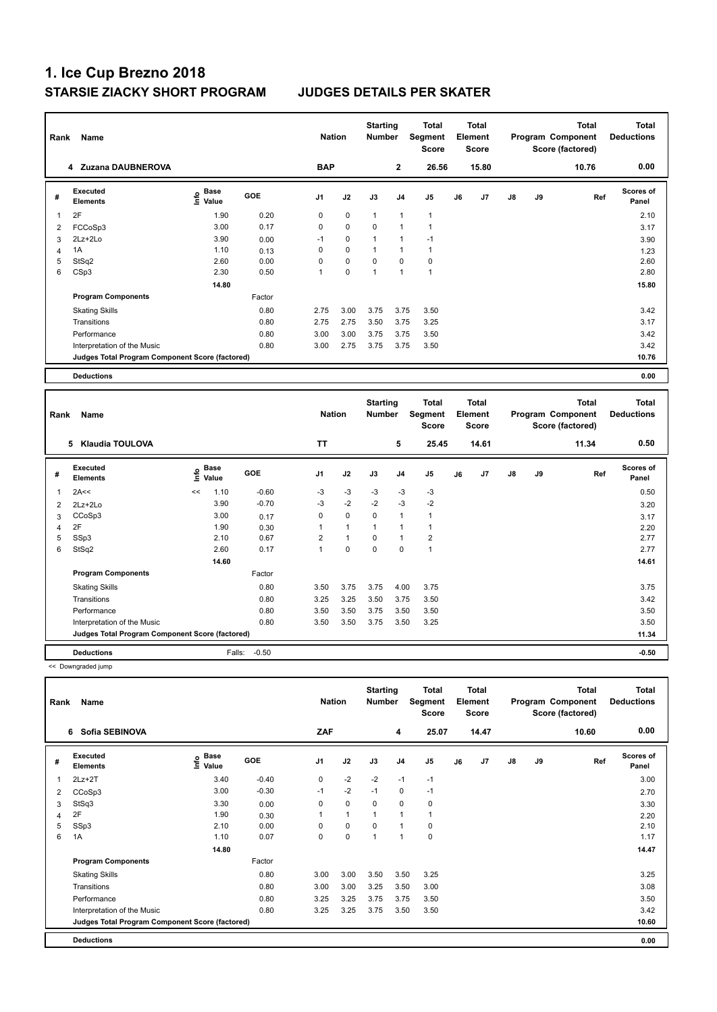| Rank | Name                                            |                                  | <b>Nation</b> |                | <b>Starting</b><br><b>Number</b> |              | <b>Total</b><br>Segment<br>Score |                | Total<br>Element<br><b>Score</b> |       |    | <b>Total</b><br>Program Component<br>Score (factored) | <b>Total</b><br><b>Deductions</b> |                           |
|------|-------------------------------------------------|----------------------------------|---------------|----------------|----------------------------------|--------------|----------------------------------|----------------|----------------------------------|-------|----|-------------------------------------------------------|-----------------------------------|---------------------------|
|      | 4 Zuzana DAUBNEROVA                             |                                  |               | <b>BAP</b>     |                                  |              | $\mathbf{2}$                     | 26.56          |                                  | 15.80 |    |                                                       | 10.76                             | 0.00                      |
| #    | Executed<br><b>Elements</b>                     | <b>Base</b><br>o Base<br>⊆ Value | GOE           | J <sub>1</sub> | J2                               | J3           | J <sub>4</sub>                   | J <sub>5</sub> | J6                               | J7    | J8 | J9                                                    | Ref                               | <b>Scores of</b><br>Panel |
| 1    | 2F                                              | 1.90                             | 0.20          | 0              | $\mathbf 0$                      | $\mathbf{1}$ | $\mathbf{1}$                     | $\overline{1}$ |                                  |       |    |                                                       |                                   | 2.10                      |
| 2    | FCCoSp3                                         | 3.00                             | 0.17          | 0              | $\mathbf 0$                      | $\mathbf 0$  | $\mathbf{1}$                     | 1              |                                  |       |    |                                                       |                                   | 3.17                      |
| 3    | 2Lz+2Lo                                         | 3.90                             | 0.00          | $-1$           | $\mathbf 0$                      | 1            | $\mathbf{1}$                     | $-1$           |                                  |       |    |                                                       |                                   | 3.90                      |
| 4    | 1A                                              | 1.10                             | 0.13          | 0              | $\mathbf 0$                      | 1            | $\mathbf{1}$                     | $\mathbf{1}$   |                                  |       |    |                                                       |                                   | 1.23                      |
| 5    | StSq2                                           | 2.60                             | 0.00          | 0              | $\mathbf 0$                      | 0            | 0                                | 0              |                                  |       |    |                                                       |                                   | 2.60                      |
| 6    | CSp3                                            | 2.30                             | 0.50          | 1              | 0                                | 1            | $\overline{1}$                   | 1              |                                  |       |    |                                                       |                                   | 2.80                      |
|      |                                                 | 14.80                            |               |                |                                  |              |                                  |                |                                  |       |    |                                                       |                                   | 15.80                     |
|      | <b>Program Components</b>                       |                                  | Factor        |                |                                  |              |                                  |                |                                  |       |    |                                                       |                                   |                           |
|      | <b>Skating Skills</b>                           |                                  | 0.80          | 2.75           | 3.00                             | 3.75         | 3.75                             | 3.50           |                                  |       |    |                                                       |                                   | 3.42                      |
|      | Transitions                                     |                                  | 0.80          | 2.75           | 2.75                             | 3.50         | 3.75                             | 3.25           |                                  |       |    |                                                       |                                   | 3.17                      |
|      | Performance                                     |                                  | 0.80          | 3.00           | 3.00                             | 3.75         | 3.75                             | 3.50           |                                  |       |    |                                                       |                                   | 3.42                      |
|      | Interpretation of the Music                     |                                  | 0.80          | 3.00           | 2.75                             | 3.75         | 3.75                             | 3.50           |                                  |       |    |                                                       |                                   | 3.42                      |
|      | Judges Total Program Component Score (factored) |                                  |               |                |                                  |              |                                  |                |                                  |       |    |                                                       |                                   | 10.76                     |
|      | <b>Deductions</b>                               |                                  |               |                |                                  |              |                                  |                |                                  |       |    |                                                       |                                   | 0.00                      |
|      |                                                 |                                  |               |                |                                  |              |                                  |                |                                  |       |    |                                                       |                                   |                           |

|   | Rank<br>Name<br>5<br>Klaudia TOULOVA            |      |               |            | <b>Nation</b>  |              | <b>Starting</b><br><b>Number</b> |                | Total<br>Segment<br><b>Score</b> |    | <b>Total</b><br>Element<br><b>Score</b> |    |    | <b>Total</b><br>Program Component<br>Score (factored) | <b>Total</b><br><b>Deductions</b> |
|---|-------------------------------------------------|------|---------------|------------|----------------|--------------|----------------------------------|----------------|----------------------------------|----|-----------------------------------------|----|----|-------------------------------------------------------|-----------------------------------|
|   |                                                 |      |               |            | <b>TT</b>      |              |                                  | 5              | 25.45                            |    | 14.61                                   |    |    | 11.34                                                 | 0.50                              |
| # | <b>Executed</b><br><b>Elements</b>              | lnfo | Base<br>Value | <b>GOE</b> | J1             | J2           | J3                               | J <sub>4</sub> | J <sub>5</sub>                   | J6 | J7                                      | J8 | J9 | Ref                                                   | <b>Scores of</b><br>Panel         |
| 1 | 2A<<                                            | <<   | 1.10          | $-0.60$    | $-3$           | $-3$         | $-3$                             | $-3$           | $-3$                             |    |                                         |    |    |                                                       | 0.50                              |
| 2 | 2Lz+2Lo                                         |      | 3.90          | $-0.70$    | $-3$           | $-2$         | $-2$                             | $-3$           | $-2$                             |    |                                         |    |    |                                                       | 3.20                              |
| 3 | CCoSp3                                          |      | 3.00          | 0.17       | 0              | $\mathbf 0$  | $\Omega$                         | $\mathbf{1}$   | $\overline{1}$                   |    |                                         |    |    |                                                       | 3.17                              |
| 4 | 2F                                              |      | 1.90          | 0.30       |                | $\mathbf{1}$ | $\mathbf{1}$                     | $\mathbf{1}$   |                                  |    |                                         |    |    |                                                       | 2.20                              |
| 5 | SSp3                                            |      | 2.10          | 0.67       | $\overline{2}$ | $\mathbf{1}$ | $\Omega$                         | $\mathbf{1}$   | $\overline{2}$                   |    |                                         |    |    |                                                       | 2.77                              |
| 6 | StSq2                                           |      | 2.60          | 0.17       | $\mathbf{1}$   | 0            | $\mathbf 0$                      | $\mathbf 0$    | $\overline{1}$                   |    |                                         |    |    |                                                       | 2.77                              |
|   |                                                 |      | 14.60         |            |                |              |                                  |                |                                  |    |                                         |    |    |                                                       | 14.61                             |
|   | <b>Program Components</b>                       |      |               | Factor     |                |              |                                  |                |                                  |    |                                         |    |    |                                                       |                                   |
|   | <b>Skating Skills</b>                           |      |               | 0.80       | 3.50           | 3.75         | 3.75                             | 4.00           | 3.75                             |    |                                         |    |    |                                                       | 3.75                              |
|   | Transitions                                     |      |               | 0.80       | 3.25           | 3.25         | 3.50                             | 3.75           | 3.50                             |    |                                         |    |    |                                                       | 3.42                              |
|   | Performance                                     |      |               | 0.80       | 3.50           | 3.50         | 3.75                             | 3.50           | 3.50                             |    |                                         |    |    |                                                       | 3.50                              |
|   | Interpretation of the Music                     |      |               | 0.80       | 3.50           | 3.50         | 3.75                             | 3.50           | 3.25                             |    |                                         |    |    |                                                       | 3.50                              |
|   | Judges Total Program Component Score (factored) |      |               |            |                |              |                                  |                |                                  |    |                                         |    |    |                                                       | 11.34                             |
|   | <b>Deductions</b>                               |      | Falls:        | $-0.50$    |                |              |                                  |                |                                  |    |                                         |    |    |                                                       | $-0.50$                           |

<< Downgraded jump

|   | Name<br>Rank<br>Sofia SEBINOVA<br>6             |                           |            |                | <b>Nation</b> | <b>Starting</b><br>Number |                | Total<br>Segment<br><b>Score</b> |    | <b>Total</b><br>Element<br><b>Score</b> |               |    | <b>Total</b><br>Program Component<br>Score (factored) | Total<br><b>Deductions</b> |
|---|-------------------------------------------------|---------------------------|------------|----------------|---------------|---------------------------|----------------|----------------------------------|----|-----------------------------------------|---------------|----|-------------------------------------------------------|----------------------------|
|   |                                                 |                           |            | ZAF            |               |                           | 4              | 25.07                            |    | 14.47                                   |               |    | 10.60                                                 | 0.00                       |
| # | Executed<br><b>Elements</b>                     | Base<br>e Base<br>⊆ Value | <b>GOE</b> | J <sub>1</sub> | J2            | J3                        | J <sub>4</sub> | J <sub>5</sub>                   | J6 | J7                                      | $\mathsf{J}8$ | J9 | Ref                                                   | <b>Scores of</b><br>Panel  |
|   | $2Lz+2T$                                        | 3.40                      | $-0.40$    | 0              | $-2$          | $-2$                      | $-1$           | $-1$                             |    |                                         |               |    |                                                       | 3.00                       |
| 2 | CCoSp3                                          | 3.00                      | $-0.30$    | $-1$           | $-2$          | $-1$                      | 0              | $-1$                             |    |                                         |               |    |                                                       | 2.70                       |
| 3 | StSq3                                           | 3.30                      | 0.00       | 0              | 0             | 0                         | 0              | 0                                |    |                                         |               |    |                                                       | 3.30                       |
| 4 | 2F                                              | 1.90                      | 0.30       |                | $\mathbf{1}$  | 1                         | $\overline{1}$ | $\mathbf{1}$                     |    |                                         |               |    |                                                       | 2.20                       |
| 5 | SSp3                                            | 2.10                      | 0.00       | 0              | $\pmb{0}$     | $\mathbf 0$               | $\mathbf{1}$   | 0                                |    |                                         |               |    |                                                       | 2.10                       |
| 6 | 1A                                              | 1.10                      | 0.07       | 0              | $\mathbf 0$   | 1                         | $\overline{1}$ | $\mathbf 0$                      |    |                                         |               |    |                                                       | 1.17                       |
|   |                                                 | 14.80                     |            |                |               |                           |                |                                  |    |                                         |               |    |                                                       | 14.47                      |
|   | <b>Program Components</b>                       |                           | Factor     |                |               |                           |                |                                  |    |                                         |               |    |                                                       |                            |
|   | <b>Skating Skills</b>                           |                           | 0.80       | 3.00           | 3.00          | 3.50                      | 3.50           | 3.25                             |    |                                         |               |    |                                                       | 3.25                       |
|   | Transitions                                     |                           | 0.80       | 3.00           | 3.00          | 3.25                      | 3.50           | 3.00                             |    |                                         |               |    |                                                       | 3.08                       |
|   | Performance                                     |                           | 0.80       | 3.25           | 3.25          | 3.75                      | 3.75           | 3.50                             |    |                                         |               |    |                                                       | 3.50                       |
|   | Interpretation of the Music                     |                           | 0.80       | 3.25           | 3.25          | 3.75                      | 3.50           | 3.50                             |    |                                         |               |    |                                                       | 3.42                       |
|   | Judges Total Program Component Score (factored) |                           |            |                |               |                           |                |                                  |    |                                         |               |    |                                                       | 10.60                      |
|   | <b>Deductions</b>                               |                           |            |                |               |                           |                |                                  |    |                                         |               |    |                                                       | 0.00                       |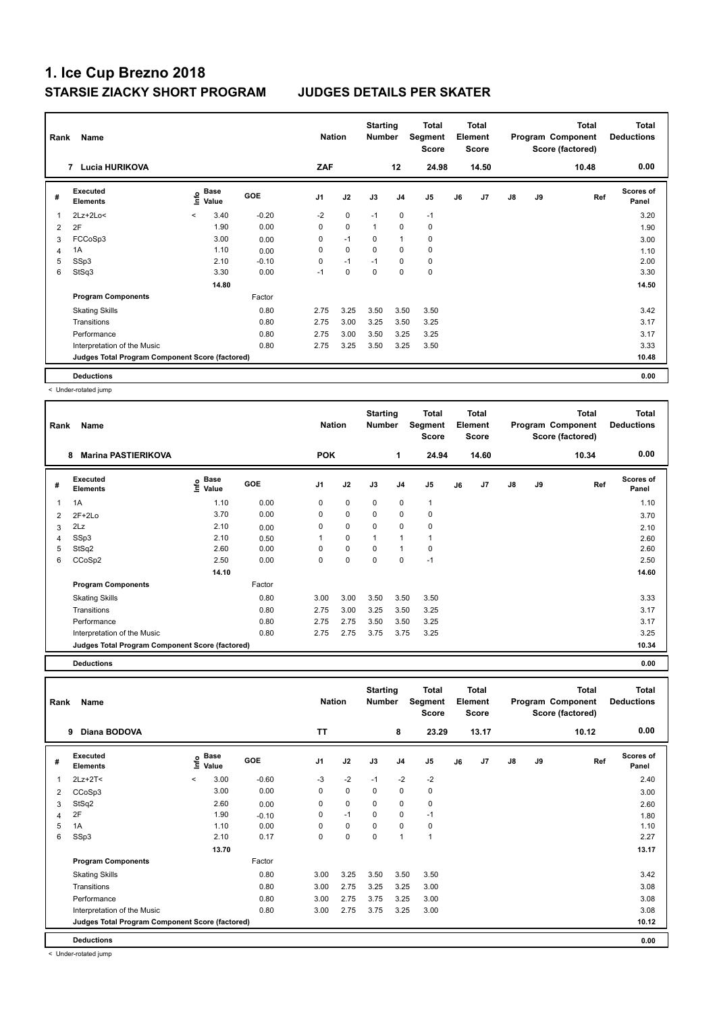| Rank | Name                                            |                          | <b>Nation</b>                    |            | <b>Starting</b><br><b>Number</b> |             | <b>Total</b><br>Segment<br><b>Score</b> |                | <b>Total</b><br>Element<br><b>Score</b> |    |       | <b>Total</b><br>Program Component<br>Score (factored) | <b>Total</b><br><b>Deductions</b> |       |                           |
|------|-------------------------------------------------|--------------------------|----------------------------------|------------|----------------------------------|-------------|-----------------------------------------|----------------|-----------------------------------------|----|-------|-------------------------------------------------------|-----------------------------------|-------|---------------------------|
|      | <b>Lucia HURIKOVA</b><br>$\overline{7}$         |                          |                                  |            | ZAF                              |             |                                         | 12             | 24.98                                   |    | 14.50 |                                                       |                                   | 10.48 | 0.00                      |
| #    | <b>Executed</b><br><b>Elements</b>              |                          | <b>Base</b><br>o Base<br>⊆ Value | <b>GOE</b> | J <sub>1</sub>                   | J2          | J3                                      | J <sub>4</sub> | J <sub>5</sub>                          | J6 | J7    | $\mathsf{J}8$                                         | J9                                | Ref   | <b>Scores of</b><br>Panel |
| 1    | $2Lz + 2Lo <$                                   | $\overline{\phantom{a}}$ | 3.40                             | $-0.20$    | $-2$                             | $\mathbf 0$ | $-1$                                    | 0              | $-1$                                    |    |       |                                                       |                                   |       | 3.20                      |
| 2    | 2F                                              |                          | 1.90                             | 0.00       | 0                                | $\pmb{0}$   | $\overline{1}$                          | 0              | 0                                       |    |       |                                                       |                                   |       | 1.90                      |
| 3    | FCCoSp3                                         |                          | 3.00                             | 0.00       | 0                                | $-1$        | 0                                       | $\overline{1}$ | $\pmb{0}$                               |    |       |                                                       |                                   |       | 3.00                      |
| 4    | 1A                                              |                          | 1.10                             | 0.00       | 0                                | $\mathbf 0$ | $\Omega$                                | 0              | $\pmb{0}$                               |    |       |                                                       |                                   |       | 1.10                      |
| 5    | SSp3                                            |                          | 2.10                             | $-0.10$    | 0                                | $-1$        | $-1$                                    | 0              | 0                                       |    |       |                                                       |                                   |       | 2.00                      |
| 6    | StSq3                                           |                          | 3.30                             | 0.00       | $-1$                             | $\mathbf 0$ | 0                                       | 0              | $\pmb{0}$                               |    |       |                                                       |                                   |       | 3.30                      |
|      |                                                 |                          | 14.80                            |            |                                  |             |                                         |                |                                         |    |       |                                                       |                                   |       | 14.50                     |
|      | <b>Program Components</b>                       |                          |                                  | Factor     |                                  |             |                                         |                |                                         |    |       |                                                       |                                   |       |                           |
|      | <b>Skating Skills</b>                           |                          |                                  | 0.80       | 2.75                             | 3.25        | 3.50                                    | 3.50           | 3.50                                    |    |       |                                                       |                                   |       | 3.42                      |
|      | Transitions                                     |                          |                                  | 0.80       | 2.75                             | 3.00        | 3.25                                    | 3.50           | 3.25                                    |    |       |                                                       |                                   |       | 3.17                      |
|      | Performance                                     |                          |                                  | 0.80       | 2.75                             | 3.00        | 3.50                                    | 3.25           | 3.25                                    |    |       |                                                       |                                   |       | 3.17                      |
|      | Interpretation of the Music                     |                          |                                  | 0.80       | 2.75                             | 3.25        | 3.50                                    | 3.25           | 3.50                                    |    |       |                                                       |                                   |       | 3.33                      |
|      | Judges Total Program Component Score (factored) |                          |                                  |            |                                  |             |                                         |                |                                         |    |       |                                                       |                                   |       | 10.48                     |
|      | <b>Deductions</b>                               |                          |                                  |            |                                  |             |                                         |                |                                         |    |       |                                                       |                                   |       | 0.00                      |

< Under-rotated jump

| Rank | Name                                            |                                           | <b>Nation</b> |            | <b>Starting</b><br><b>Number</b> |                | Total<br>Segment<br><b>Score</b> |                | Total<br>Element<br><b>Score</b> |       |               | <b>Total</b><br>Program Component<br>Score (factored) | <b>Total</b><br><b>Deductions</b> |                           |
|------|-------------------------------------------------|-------------------------------------------|---------------|------------|----------------------------------|----------------|----------------------------------|----------------|----------------------------------|-------|---------------|-------------------------------------------------------|-----------------------------------|---------------------------|
|      | <b>Marina PASTIERIKOVA</b><br>8                 |                                           |               | <b>POK</b> |                                  |                | 1                                | 24.94          |                                  | 14.60 |               |                                                       | 10.34                             | 0.00                      |
| #    | <b>Executed</b><br><b>Elements</b>              | $\frac{6}{5}$ Base<br>$\frac{1}{5}$ Value | <b>GOE</b>    | J1         | J2                               | J3             | J <sub>4</sub>                   | J <sub>5</sub> | J6                               | J7    | $\mathsf{J}8$ | J9                                                    | Ref                               | <b>Scores of</b><br>Panel |
| 1    | 1A                                              | 1.10                                      | 0.00          | 0          | $\mathbf 0$                      | $\mathbf 0$    | $\mathbf 0$                      | $\mathbf{1}$   |                                  |       |               |                                                       |                                   | 1.10                      |
| 2    | $2F+2Lo$                                        | 3.70                                      | 0.00          | 0          | $\mathbf 0$                      | $\mathbf 0$    | $\pmb{0}$                        | 0              |                                  |       |               |                                                       |                                   | 3.70                      |
| 3    | 2Lz                                             | 2.10                                      | 0.00          | 0          | 0                                | $\mathbf 0$    | 0                                | 0              |                                  |       |               |                                                       |                                   | 2.10                      |
| 4    | SSp3                                            | 2.10                                      | 0.50          |            | 0                                | $\overline{1}$ | $\mathbf{1}$                     |                |                                  |       |               |                                                       |                                   | 2.60                      |
| 5    | StSq2                                           | 2.60                                      | 0.00          | 0          | $\pmb{0}$                        | 0              | $\mathbf{1}$                     | 0              |                                  |       |               |                                                       |                                   | 2.60                      |
| 6    | CCoSp2                                          | 2.50                                      | 0.00          | $\Omega$   | $\mathbf 0$                      | $\Omega$       | $\mathbf 0$                      | $-1$           |                                  |       |               |                                                       |                                   | 2.50                      |
|      |                                                 | 14.10                                     |               |            |                                  |                |                                  |                |                                  |       |               |                                                       |                                   | 14.60                     |
|      | <b>Program Components</b>                       |                                           | Factor        |            |                                  |                |                                  |                |                                  |       |               |                                                       |                                   |                           |
|      | <b>Skating Skills</b>                           |                                           | 0.80          | 3.00       | 3.00                             | 3.50           | 3.50                             | 3.50           |                                  |       |               |                                                       |                                   | 3.33                      |
|      | Transitions                                     |                                           | 0.80          | 2.75       | 3.00                             | 3.25           | 3.50                             | 3.25           |                                  |       |               |                                                       |                                   | 3.17                      |
|      | Performance                                     |                                           | 0.80          | 2.75       | 2.75                             | 3.50           | 3.50                             | 3.25           |                                  |       |               |                                                       |                                   | 3.17                      |
|      | Interpretation of the Music                     |                                           | 0.80          | 2.75       | 2.75                             | 3.75           | 3.75                             | 3.25           |                                  |       |               |                                                       |                                   | 3.25                      |
|      | Judges Total Program Component Score (factored) |                                           |               |            |                                  |                |                                  |                |                                  |       |               |                                                       |                                   | 10.34                     |

**Deductions 0.00**

**Total Deductions Total Program Component Score (factored) Total Element Score Total Segment Score Starting Rank Name Nation Number # Executed Elements Base Value GOE J1 J2 J3 J4 J5 J6 J7 J8 J9 Scores of Panel** 1 3.00 -0.60 -3 -2 -1 -2 -2 **Ref**  2Lz+2T< < 2.40 **Info 9 Diana BODOVA TT 8 23.29 13.17 10.12 0.00** 2 CCoSp3 3.00 0.00 0 0 0 0 0 3.00  $3 \quad S$ tSq2 2.60  $2.60$   $0.00$  0 0 0 0 0 0 0 0 0 2.60 4 2F 1.90 -0.10 0 -1 0 0 -1 1.80 5 1A 1.10 0.00 0 0 0 0 0 1.10 6 SSp3 2.10 0.17 0 0 0 1 1 2.27  **13.70 13.17 Program Components**  Skating Skills 3.00 3.25 3.50 3.50 3.50 Factor 0.80 3.00 3.25 3.50 3.50 3.50 3.42 Transitions 0.80 3.00 2.75 3.25 3.25 3.00 3.08 Performance 0.80 3.00 2.75 3.75 3.25 3.00 3.08 Interpretation of the Music **0.80** 3.00 3.00 3.00 3.00 3.00 3.08 3.00 **Deductions 0.00 Judges Total Program Component Score (factored) 10.12**

< Under-rotated jump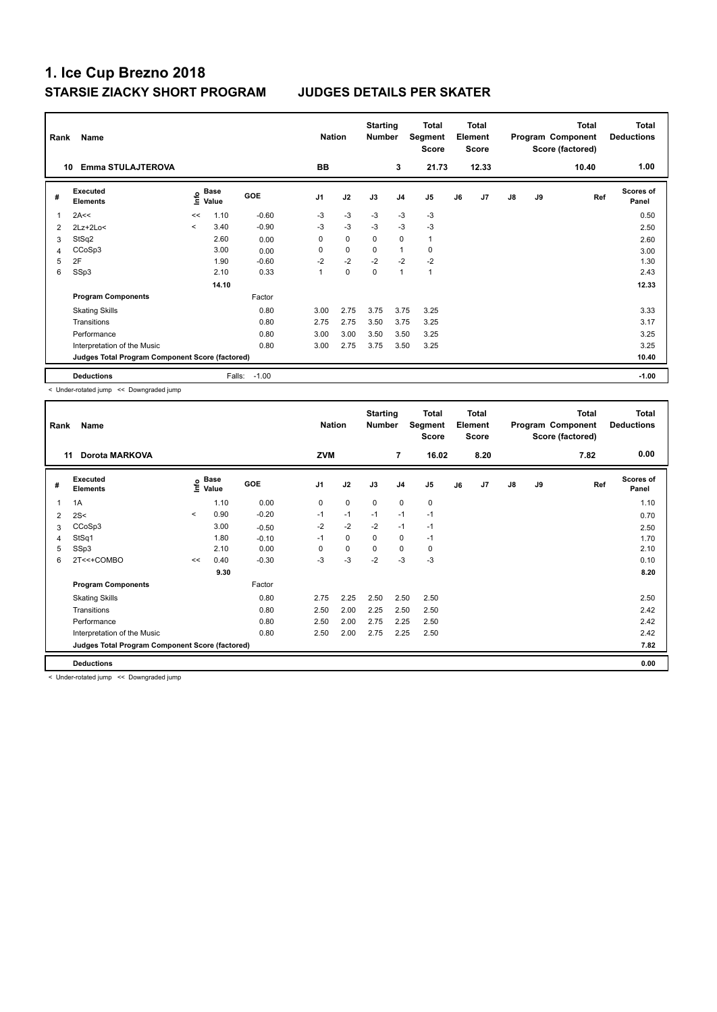| Rank | Name                                            |                          |                           |            | <b>Nation</b>  |             | <b>Starting</b><br><b>Number</b> |                | <b>Total</b><br>Segment<br><b>Score</b> |    | <b>Total</b><br>Element<br><b>Score</b> |    |    | <b>Total</b><br>Program Component<br>Score (factored) | <b>Total</b><br><b>Deductions</b> |
|------|-------------------------------------------------|--------------------------|---------------------------|------------|----------------|-------------|----------------------------------|----------------|-----------------------------------------|----|-----------------------------------------|----|----|-------------------------------------------------------|-----------------------------------|
|      | <b>Emma STULAJTEROVA</b><br>10                  |                          |                           |            | <b>BB</b>      |             |                                  | 3              | 21.73                                   |    | 12.33                                   |    |    | 10.40                                                 | 1.00                              |
| #    | <b>Executed</b><br><b>Elements</b>              |                          | Base<br>o Base<br>⊆ Value | <b>GOE</b> | J <sub>1</sub> | J2          | J3                               | J <sub>4</sub> | J5                                      | J6 | J <sub>7</sub>                          | J8 | J9 | Ref                                                   | Scores of<br>Panel                |
| 1    | 2A<<                                            | <<                       | 1.10                      | $-0.60$    | $-3$           | $-3$        | $-3$                             | $-3$           | $-3$                                    |    |                                         |    |    |                                                       | 0.50                              |
| 2    | $2Lz+2Lo<$                                      | $\overline{\phantom{a}}$ | 3.40                      | $-0.90$    | $-3$           | $-3$        | -3                               | $-3$           | -3                                      |    |                                         |    |    |                                                       | 2.50                              |
| 3    | StSq2                                           |                          | 2.60                      | 0.00       | 0              | $\mathbf 0$ | 0                                | $\mathbf 0$    | $\mathbf{1}$                            |    |                                         |    |    |                                                       | 2.60                              |
| 4    | CCoSp3                                          |                          | 3.00                      | 0.00       | 0              | $\mathbf 0$ | $\mathbf 0$                      | $\overline{1}$ | $\mathbf 0$                             |    |                                         |    |    |                                                       | 3.00                              |
| 5    | 2F                                              |                          | 1.90                      | $-0.60$    | $-2$           | $-2$        | $-2$                             | $-2$           | $-2$                                    |    |                                         |    |    |                                                       | 1.30                              |
| 6    | SSp3                                            |                          | 2.10                      | 0.33       | 1              | $\mathbf 0$ | $\mathbf 0$                      | 1              | $\mathbf{1}$                            |    |                                         |    |    |                                                       | 2.43                              |
|      |                                                 |                          | 14.10                     |            |                |             |                                  |                |                                         |    |                                         |    |    |                                                       | 12.33                             |
|      | <b>Program Components</b>                       |                          |                           | Factor     |                |             |                                  |                |                                         |    |                                         |    |    |                                                       |                                   |
|      | <b>Skating Skills</b>                           |                          |                           | 0.80       | 3.00           | 2.75        | 3.75                             | 3.75           | 3.25                                    |    |                                         |    |    |                                                       | 3.33                              |
|      | Transitions                                     |                          |                           | 0.80       | 2.75           | 2.75        | 3.50                             | 3.75           | 3.25                                    |    |                                         |    |    |                                                       | 3.17                              |
|      | Performance                                     |                          |                           | 0.80       | 3.00           | 3.00        | 3.50                             | 3.50           | 3.25                                    |    |                                         |    |    |                                                       | 3.25                              |
|      | Interpretation of the Music                     |                          |                           | 0.80       | 3.00           | 2.75        | 3.75                             | 3.50           | 3.25                                    |    |                                         |    |    |                                                       | 3.25                              |
|      | Judges Total Program Component Score (factored) |                          |                           |            |                |             |                                  |                |                                         |    |                                         |    |    |                                                       | 10.40                             |
|      | <b>Deductions</b>                               |                          | Falls:                    | $-1.00$    |                |             |                                  |                |                                         |    |                                         |    |    |                                                       | $-1.00$                           |

< Under-rotated jump << Downgraded jump

| Rank | Name                                            |         | <b>Nation</b>               |            | <b>Starting</b><br><b>Number</b> |             | Total<br>Segment<br><b>Score</b> |                | <b>Total</b><br>Element<br><b>Score</b> |    |      | <b>Total</b><br>Program Component<br>Score (factored) | <b>Total</b><br><b>Deductions</b> |      |                           |
|------|-------------------------------------------------|---------|-----------------------------|------------|----------------------------------|-------------|----------------------------------|----------------|-----------------------------------------|----|------|-------------------------------------------------------|-----------------------------------|------|---------------------------|
| 11   | <b>Dorota MARKOVA</b>                           |         |                             |            | <b>ZVM</b>                       |             |                                  | 7              | 16.02                                   |    | 8.20 |                                                       |                                   | 7.82 | 0.00                      |
| #    | Executed<br><b>Elements</b>                     |         | Base<br>$\frac{6}{5}$ Value | <b>GOE</b> | J <sub>1</sub>                   | J2          | J3                               | J <sub>4</sub> | J <sub>5</sub>                          | J6 | J7   | $\mathsf{J}8$                                         | J9                                | Ref  | <b>Scores of</b><br>Panel |
| 1    | 1A                                              |         | 1.10                        | 0.00       | 0                                | $\mathbf 0$ | $\mathbf 0$                      | $\mathbf 0$    | $\pmb{0}$                               |    |      |                                                       |                                   |      | 1.10                      |
| 2    | 2S<                                             | $\prec$ | 0.90                        | $-0.20$    | $-1$                             | $-1$        | $-1$                             | $-1$           | $-1$                                    |    |      |                                                       |                                   |      | 0.70                      |
| 3    | CCoSp3                                          |         | 3.00                        | $-0.50$    | $-2$                             | $-2$        | $-2$                             | $-1$           | $-1$                                    |    |      |                                                       |                                   |      | 2.50                      |
| 4    | StSq1                                           |         | 1.80                        | $-0.10$    | $-1$                             | $\mathbf 0$ | 0                                | $\pmb{0}$      | $-1$                                    |    |      |                                                       |                                   |      | 1.70                      |
| 5    | SSp3                                            |         | 2.10                        | 0.00       | 0                                | $\mathbf 0$ | 0                                | 0              | 0                                       |    |      |                                                       |                                   |      | 2.10                      |
| 6    | 2T<<+COMBO                                      | <<      | 0.40                        | $-0.30$    | $-3$                             | $-3$        | $-2$                             | $-3$           | $-3$                                    |    |      |                                                       |                                   |      | 0.10                      |
|      |                                                 |         | 9.30                        |            |                                  |             |                                  |                |                                         |    |      |                                                       |                                   |      | 8.20                      |
|      | <b>Program Components</b>                       |         |                             | Factor     |                                  |             |                                  |                |                                         |    |      |                                                       |                                   |      |                           |
|      | <b>Skating Skills</b>                           |         |                             | 0.80       | 2.75                             | 2.25        | 2.50                             | 2.50           | 2.50                                    |    |      |                                                       |                                   |      | 2.50                      |
|      | Transitions                                     |         |                             | 0.80       | 2.50                             | 2.00        | 2.25                             | 2.50           | 2.50                                    |    |      |                                                       |                                   |      | 2.42                      |
|      | Performance                                     |         |                             | 0.80       | 2.50                             | 2.00        | 2.75                             | 2.25           | 2.50                                    |    |      |                                                       |                                   |      | 2.42                      |
|      | Interpretation of the Music                     |         |                             | 0.80       | 2.50                             | 2.00        | 2.75                             | 2.25           | 2.50                                    |    |      |                                                       |                                   |      | 2.42                      |
|      | Judges Total Program Component Score (factored) |         |                             |            |                                  |             |                                  |                |                                         |    |      |                                                       |                                   |      | 7.82                      |
|      | <b>Deductions</b>                               |         |                             |            |                                  |             |                                  |                |                                         |    |      |                                                       |                                   |      | 0.00                      |

< Under-rotated jump << Downgraded jump